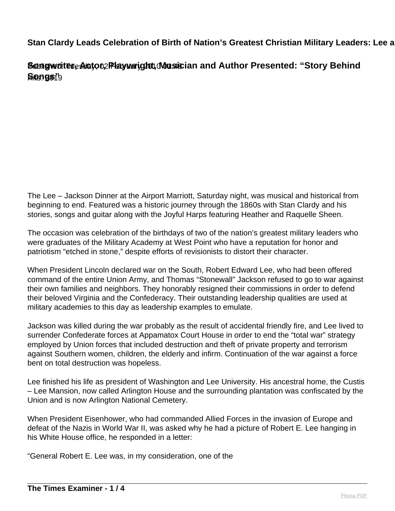**Songwriter, Actor, Playwright, Musician and Author Presented: "Story Behind** Hits: 5819 **Songs"**

The Lee – Jackson Dinner at the Airport Marriott, Saturday night, was musical and historical from beginning to end. Featured was a historic journey through the 1860s with Stan Clardy and his stories, songs and guitar along with the Joyful Harps featuring Heather and Raquelle Sheen.

The occasion was celebration of the birthdays of two of the nation's greatest military leaders who were graduates of the Military Academy at West Point who have a reputation for honor and patriotism "etched in stone," despite efforts of revisionists to distort their character.

When President Lincoln declared war on the South, Robert Edward Lee, who had been offered command of the entire Union Army, and Thomas "Stonewall" Jackson refused to go to war against their own families and neighbors. They honorably resigned their commissions in order to defend their beloved Virginia and the Confederacy. Their outstanding leadership qualities are used at military academies to this day as leadership examples to emulate.

Jackson was killed during the war probably as the result of accidental friendly fire, and Lee lived to surrender Confederate forces at Appamatox Court House in order to end the "total war" strategy employed by Union forces that included destruction and theft of private property and terrorism against Southern women, children, the elderly and infirm. Continuation of the war against a force bent on total destruction was hopeless.

Lee finished his life as president of Washington and Lee University. His ancestral home, the Custis – Lee Mansion, now called Arlington House and the surrounding plantation was confiscated by the Union and is now Arlington National Cemetery.

When President Eisenhower, who had commanded Allied Forces in the invasion of Europe and defeat of the Nazis in World War II, was asked why he had a picture of Robert E. Lee hanging in his White House office, he responded in a letter:

"General Robert E. Lee was, in my consideration, one of the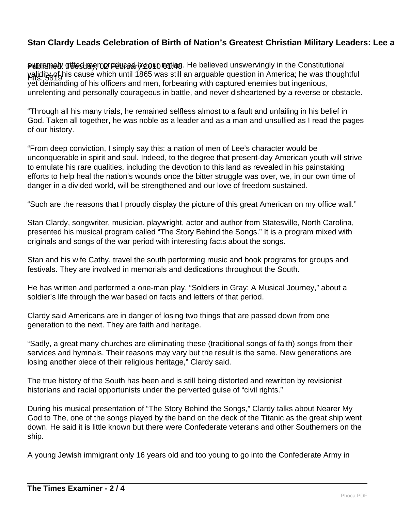**Published: gittesday, no reduces by our mation. He believed unswervingly in the Constitutional** Hits: 5819 validity of his cause which until 1865 was still an arguable question in America; he was thoughtful yet demanding of his officers and men, forbearing with captured enemies but ingenious, unrelenting and personally courageous in battle, and never disheartened by a reverse or obstacle.

"Through all his many trials, he remained selfless almost to a fault and unfailing in his belief in God. Taken all together, he was noble as a leader and as a man and unsullied as I read the pages of our history.

"From deep conviction, I simply say this: a nation of men of Lee's character would be unconquerable in spirit and soul. Indeed, to the degree that present-day American youth will strive to emulate his rare qualities, including the devotion to this land as revealed in his painstaking efforts to help heal the nation's wounds once the bitter struggle was over, we, in our own time of danger in a divided world, will be strengthened and our love of freedom sustained.

"Such are the reasons that I proudly display the picture of this great American on my office wall."

Stan Clardy, songwriter, musician, playwright, actor and author from Statesville, North Carolina, presented his musical program called "The Story Behind the Songs." It is a program mixed with originals and songs of the war period with interesting facts about the songs.

Stan and his wife Cathy, travel the south performing music and book programs for groups and festivals. They are involved in memorials and dedications throughout the South.

He has written and performed a one-man play, "Soldiers in Gray: A Musical Journey," about a soldier's life through the war based on facts and letters of that period.

Clardy said Americans are in danger of losing two things that are passed down from one generation to the next. They are faith and heritage.

"Sadly, a great many churches are eliminating these (traditional songs of faith) songs from their services and hymnals. Their reasons may vary but the result is the same. New generations are losing another piece of their religious heritage," Clardy said.

The true history of the South has been and is still being distorted and rewritten by revisionist historians and racial opportunists under the perverted guise of "civil rights."

During his musical presentation of "The Story Behind the Songs," Clardy talks about Nearer My God to The, one of the songs played by the band on the deck of the Titanic as the great ship went down. He said it is little known but there were Confederate veterans and other Southerners on the ship.

A young Jewish immigrant only 16 years old and too young to go into the Confederate Army in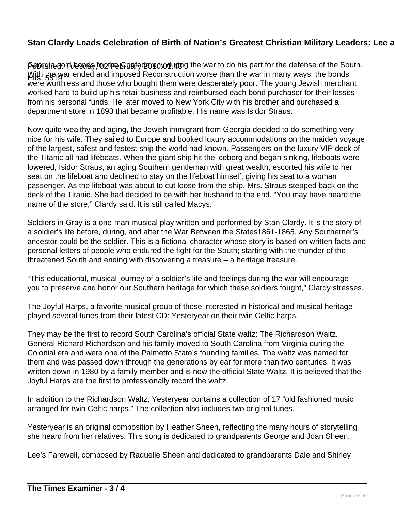Peonginegold beads, foo the Graafed and whis o the war to do his part for the defense of the South. Hits: 5819 With the war ended and imposed Reconstruction worse than the war in many ways, the bonds were worthless and those who bought them were desperately poor. The young Jewish merchant worked hard to build up his retail business and reimbursed each bond purchaser for their losses from his personal funds. He later moved to New York City with his brother and purchased a department store in 1893 that became profitable. His name was Isidor Straus.

Now quite wealthy and aging, the Jewish immigrant from Georgia decided to do something very nice for his wife. They sailed to Europe and booked luxury accommodations on the maiden voyage of the largest, safest and fastest ship the world had known. Passengers on the luxury VIP deck of the Titanic all had lifeboats. When the giant ship hit the iceberg and began sinking, lifeboats were lowered, Isidor Straus, an aging Southern gentleman with great wealth, escorted his wife to her seat on the lifeboat and declined to stay on the lifeboat himself, giving his seat to a woman passenger. As the lifeboat was about to cut loose from the ship, Mrs. Straus stepped back on the deck of the Titanic. She had decided to be with her husband to the end. "You may have heard the name of the store," Clardy said. It is still called Macys.

Soldiers in Gray is a one-man musical play written and performed by Stan Clardy. It is the story of a soldier's life before, during, and after the War Between the States1861-1865. Any Southerner's ancestor could be the soldier. This is a fictional character whose story is based on written facts and personal letters of people who endured the fight for the South; starting with the thunder of the threatened South and ending with discovering a treasure – a heritage treasure.

"This educational, musical journey of a soldier's life and feelings during the war will encourage you to preserve and honor our Southern heritage for which these soldiers fought," Clardy stresses.

The Joyful Harps, a favorite musical group of those interested in historical and musical heritage played several tunes from their latest CD: Yesteryear on their twin Celtic harps.

They may be the first to record South Carolina's official State waltz: The Richardson Waltz. General Richard Richardson and his family moved to South Carolina from Virginia during the Colonial era and were one of the Palmetto State's founding families. The waltz was named for them and was passed down through the generations by ear for more than two centuries. It was written down in 1980 by a family member and is now the official State Waltz. It is believed that the Joyful Harps are the first to professionally record the waltz.

In addition to the Richardson Waltz, Yesteryear contains a collection of 17 "old fashioned music arranged for twin Celtic harps." The collection also includes two original tunes.

Yesteryear is an original composition by Heather Sheen, reflecting the many hours of storytelling she heard from her relatives. This song is dedicated to grandparents George and Joan Sheen.

Lee's Farewell, composed by Raquelle Sheen and dedicated to grandparents Dale and Shirley